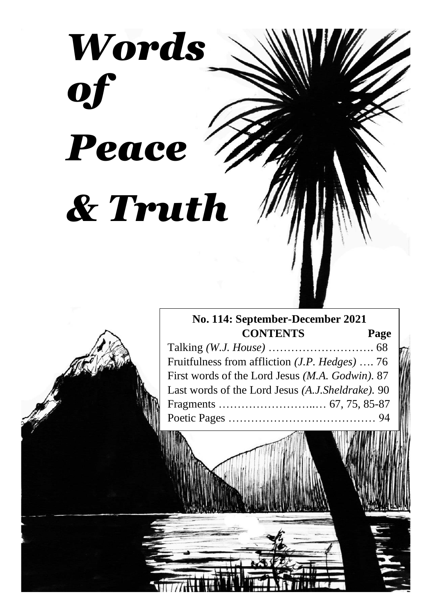# *Words of Peace & Truth*

# **No. 114: September-December 2021 CONTENTS Page**

Talking *(W.J. House)* ………………………. 68 Fruitfulness from affliction *(J.P. Hedges)* …. 76 First words of the Lord Jesus *(M.A. Godwin).* 87 Last words of the Lord Jesus *(A.J.Sheldrake).* 90 Fragments ……………………..… 67, 75, 85-87 Poetic Pages ………………………………… 94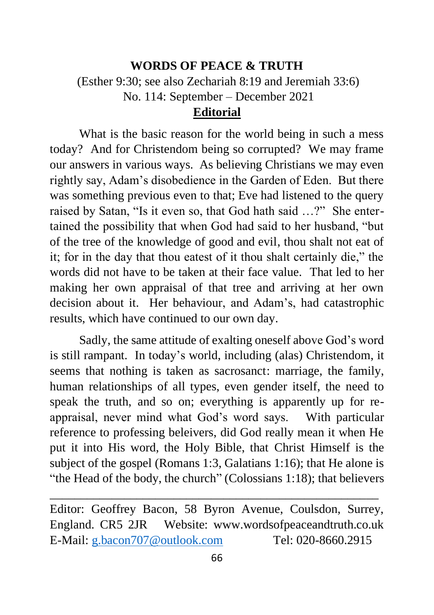## **WORDS OF PEACE & TRUTH**

(Esther 9:30; see also Zechariah 8:19 and Jeremiah 33:6)

No. 114: September – December 2021

# **Editorial**

What is the basic reason for the world being in such a mess today? And for Christendom being so corrupted? We may frame our answers in various ways. As believing Christians we may even rightly say, Adam's disobedience in the Garden of Eden. But there was something previous even to that; Eve had listened to the query raised by Satan, "Is it even so, that God hath said …?" She entertained the possibility that when God had said to her husband, "but of the tree of the knowledge of good and evil, thou shalt not eat of it; for in the day that thou eatest of it thou shalt certainly die," the words did not have to be taken at their face value. That led to her making her own appraisal of that tree and arriving at her own decision about it. Her behaviour, and Adam's, had catastrophic results, which have continued to our own day.

Sadly, the same attitude of exalting oneself above God's word is still rampant. In today's world, including (alas) Christendom, it seems that nothing is taken as sacrosanct: marriage, the family, human relationships of all types, even gender itself, the need to speak the truth, and so on; everything is apparently up for reappraisal, never mind what God's word says. With particular reference to professing beleivers, did God really mean it when He put it into His word, the Holy Bible, that Christ Himself is the subject of the gospel (Romans 1:3, Galatians 1:16); that He alone is "the Head of the body, the church" (Colossians 1:18); that believers

Editor: Geoffrey Bacon, 58 Byron Avenue, Coulsdon, Surrey, England. CR5 2JR Website: www.wordsofpeaceandtruth.co.uk E-Mail: [g.bacon707@outlook.com](mailto:g.bacon707@outlook.com) Tel: 020-8660.2915

\_\_\_\_\_\_\_\_\_\_\_\_\_\_\_\_\_\_\_\_\_\_*\_\_\_\_\_\_\_\_\_\_\_\_\_\_\_\_\_\_\_\_\_\_\_\_\_\_\_\_\_\_\_*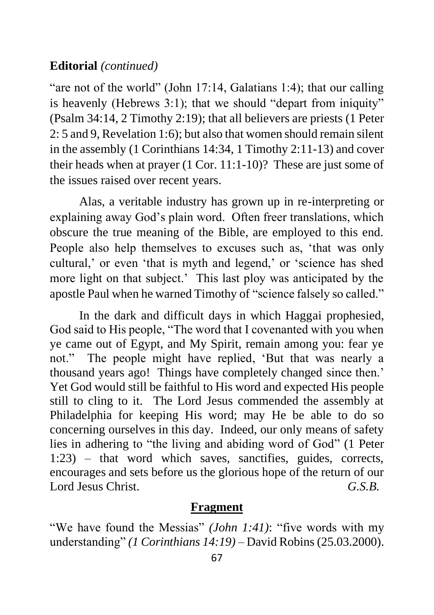# **Editorial** *(continued)*

"are not of the world" (John 17:14, Galatians 1:4); that our calling is heavenly (Hebrews 3:1); that we should "depart from iniquity" (Psalm 34:14, 2 Timothy 2:19); that all believers are priests (1 Peter 2: 5 and 9, Revelation 1:6); but also that women should remain silent in the assembly (1 Corinthians 14:34, 1 Timothy 2:11-13) and cover their heads when at prayer (1 Cor. 11:1-10)? These are just some of the issues raised over recent years.

Alas, a veritable industry has grown up in re-interpreting or explaining away God's plain word. Often freer translations, which obscure the true meaning of the Bible, are employed to this end. People also help themselves to excuses such as, 'that was only cultural,' or even 'that is myth and legend,' or 'science has shed more light on that subject.' This last ploy was anticipated by the apostle Paul when he warned Timothy of "science falsely so called."

In the dark and difficult days in which Haggai prophesied, God said to His people, "The word that I covenanted with you when ye came out of Egypt, and My Spirit, remain among you: fear ye not." The people might have replied, 'But that was nearly a thousand years ago! Things have completely changed since then.' Yet God would still be faithful to His word and expected His people still to cling to it. The Lord Jesus commended the assembly at Philadelphia for keeping His word; may He be able to do so concerning ourselves in this day. Indeed, our only means of safety lies in adhering to "the living and abiding word of God" (1 Peter 1:23) – that word which saves, sanctifies, guides, corrects, encourages and sets before us the glorious hope of the return of our Lord Jesus Christ. *G.S.B.*

## **Fragment**

"We have found the Messias" *(John 1:41)*: "five words with my understanding" *(1 Corinthians 14:19)* – David Robins (25.03.2000).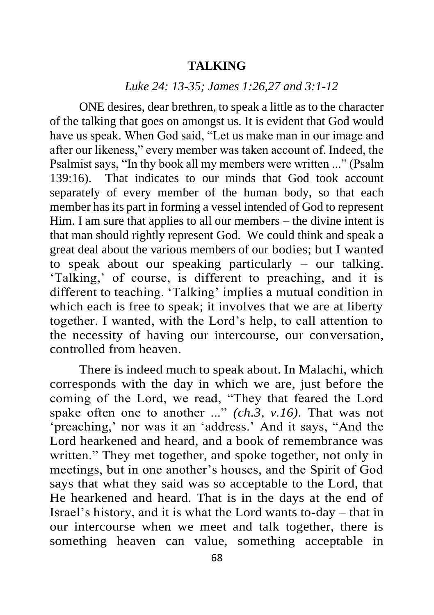## **TALKING**

#### *Luke 24: 13-35; James 1:26,27 and 3:1-12*

ONE desires, dear brethren, to speak a little as to the character of the talking that goes on amongst us. It is evident that God would have us speak. When God said, "Let us make man in our image and after our likeness," every member was taken account of. Indeed, the Psalmist says, "In thy book all my members were written ..." (Psalm 139:16). That indicates to our minds that God took account separately of every member of the human body, so that each member has its part in forming a vessel intended of God to represent Him. I am sure that applies to all our members – the divine intent is that man should rightly represent God. We could think and speak a great deal about the various members of our bodies; but I wanted to speak about our speaking particularly – our talking. 'Talking,' of course, is different to preaching, and it is different to teaching. 'Talking' implies a mutual condition in which each is free to speak; it involves that we are at liberty together. I wanted, with the Lord's help, to call attention to the necessity of having our intercourse, our conversation, controlled from heaven.

There is indeed much to speak about. In Malachi, which corresponds with the day in which we are, just before the coming of the Lord, we read, "They that feared the Lord spake often one to another ..." *(ch.3, v.16).* That was not 'preaching,' nor was it an 'address.' And it says, "And the Lord hearkened and heard, and a book of remembrance was written." They met together, and spoke together, not only in meetings, but in one another's houses, and the Spirit of God says that what they said was so acceptable to the Lord, that He hearkened and heard. That is in the days at the end of Israel's history, and it is what the Lord wants to-day – that in our intercourse when we meet and talk together, there is something heaven can value, something acceptable in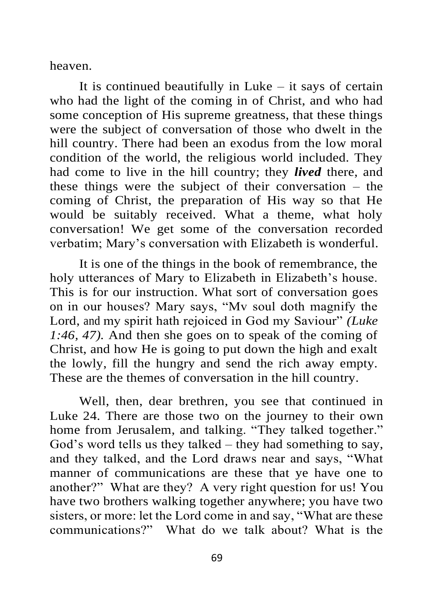heaven.

It is continued beautifully in Luke  $-$  it says of certain who had the light of the coming in of Christ, and who had some conception of His supreme greatness, that these things were the subject of conversation of those who dwelt in the hill country. There had been an exodus from the low moral condition of the world, the religious world included. They had come to live in the hill country; they *lived* there, and these things were the subject of their conversation – the coming of Christ, the preparation of His way so that He would be suitably received. What a theme, what holy conversation! We get some of the conversation recorded verbatim; Mary's conversation with Elizabeth is wonderful.

It is one of the things in the book of remembrance, the holy utterances of Mary to Elizabeth in Elizabeth's house. This is for our instruction. What sort of conversation goes on in our houses? Mary says, "Mv soul doth magnify the Lord, and my spirit hath rejoiced in God my Saviour" *(Luke 1:46, 47).* And then she goes on to speak of the coming of Christ, and how He is going to put down the high and exalt the lowly, fill the hungry and send the rich away empty. These are the themes of conversation in the hill country.

Well, then, dear brethren, you see that continued in Luke 24. There are those two on the journey to their own home from Jerusalem, and talking. "They talked together." God's word tells us they talked – they had something to say, and they talked, and the Lord draws near and says, "What manner of communications are these that ye have one to another?" What are they? A very right question for us! You have two brothers walking together anywhere; you have two sisters, or more: let the Lord come in and say, "What are these communications?" What do we talk about? What is the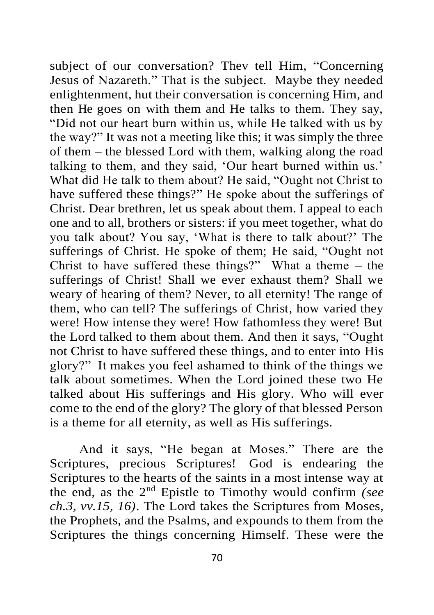subject of our conversation? Thev tell Him, "Concerning Jesus of Nazareth." That is the subject. Maybe they needed enlightenment, hut their conversation is concerning Him, and then He goes on with them and He talks to them. They say, "Did not our heart burn within us, while He talked with us by the way?" It was not a meeting like this; it was simply the three of them – the blessed Lord with them, walking along the road talking to them, and they said, 'Our heart burned within us.' What did He talk to them about? He said, "Ought not Christ to have suffered these things?" He spoke about the sufferings of Christ. Dear brethren, let us speak about them. I appeal to each one and to all, brothers or sisters: if you meet together, what do you talk about? You say, 'What is there to talk about?' The sufferings of Christ. He spoke of them; He said, "Ought not Christ to have suffered these things?" What a theme – the sufferings of Christ! Shall we ever exhaust them? Shall we weary of hearing of them? Never, to all eternity! The range of them, who can tell? The sufferings of Christ, how varied they were! How intense they were! How fathomless they were! But the Lord talked to them about them. And then it says, "Ought not Christ to have suffered these things, and to enter into His glory?" It makes you feel ashamed to think of the things we talk about sometimes. When the Lord joined these two He talked about His sufferings and His glory. Who will ever come to the end of the glory? The glory of that blessed Person is a theme for all eternity, as well as His sufferings.

And it says, "He began at Moses." There are the Scriptures, precious Scriptures! God is endearing the Scriptures to the hearts of the saints in a most intense way at the end, as the 2nd Epistle to Timothy would confirm *(see ch.3, vv.15, 16)*. The Lord takes the Scriptures from Moses, the Prophets, and the Psalms, and expounds to them from the Scriptures the things concerning Himself. These were the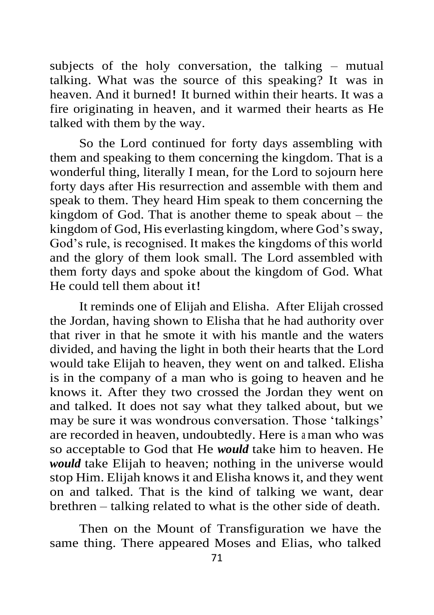subjects of the holy conversation, the talking – mutual talking. What was the source of this speaking? It was in heaven. And it burned! It burned within their hearts. It was a fire originating in heaven, and it warmed their hearts as He talked with them by the way.

So the Lord continued for forty days assembling with them and speaking to them concerning the kingdom. That is a wonderful thing, literally I mean, for the Lord to sojourn here forty days after His resurrection and assemble with them and speak to them. They heard Him speak to them concerning the kingdom of God. That is another theme to speak about – the kingdom of God, His everlasting kingdom, where God's sway, God's rule, is recognised. It makes the kingdoms of this world and the glory of them look small. The Lord assembled with them forty days and spoke about the kingdom of God. What He could tell them about it!

It reminds one of Elijah and Elisha. After Elijah crossed the Jordan, having shown to Elisha that he had authority over that river in that he smote it with his mantle and the waters divided, and having the light in both their hearts that the Lord would take Elijah to heaven, they went on and talked. Elisha is in the company of a man who is going to heaven and he knows it. After they two crossed the Jordan they went on and talked. It does not say what they talked about, but we may be sure it was wondrous conversation. Those 'talkings' are recorded in heaven, undoubtedly. Here is a man who was so acceptable to God that He *would* take him to heaven. He *would* take Elijah to heaven; nothing in the universe would stop Him. Elijah knows it and Elisha knows it, and they went on and talked. That is the kind of talking we want, dear brethren – talking related to what is the other side of death.

Then on the Mount of Transfiguration we have the same thing. There appeared Moses and Elias, who talked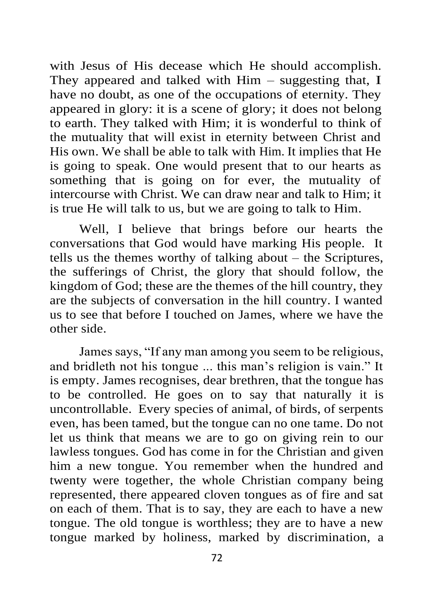with Jesus of His decease which He should accomplish. They appeared and talked with  $\text{Him}$  – suggesting that, I have no doubt, as one of the occupations of eternity. They appeared in glory: it is a scene of glory; it does not belong to earth. They talked with Him; it is wonderful to think of the mutuality that will exist in eternity between Christ and His own. We shall be able to talk with Him. It implies that He is going to speak. One would present that to our hearts as something that is going on for ever, the mutuality of intercourse with Christ. We can draw near and talk to Him; it is true He will talk to us, but we are going to talk to Him.

Well, I believe that brings before our hearts the conversations that God would have marking His people. It tells us the themes worthy of talking about – the Scriptures, the sufferings of Christ, the glory that should follow, the kingdom of God; these are the themes of the hill country, they are the subjects of conversation in the hill country. I wanted us to see that before I touched on James, where we have the other side.

James says, "If any man among you seem to be religious, and bridleth not his tongue ... this man's religion is vain." It is empty. James recognises, dear brethren, that the tongue has to be controlled. He goes on to say that naturally it is uncontrollable. Every species of animal, of birds, of serpents even, has been tamed, but the tongue can no one tame. Do not let us think that means we are to go on giving rein to our lawless tongues. God has come in for the Christian and given him a new tongue. You remember when the hundred and twenty were together, the whole Christian company being represented, there appeared cloven tongues as of fire and sat on each of them. That is to say, they are each to have a new tongue. The old tongue is worthless; they are to have a new tongue marked by holiness, marked by discrimination, a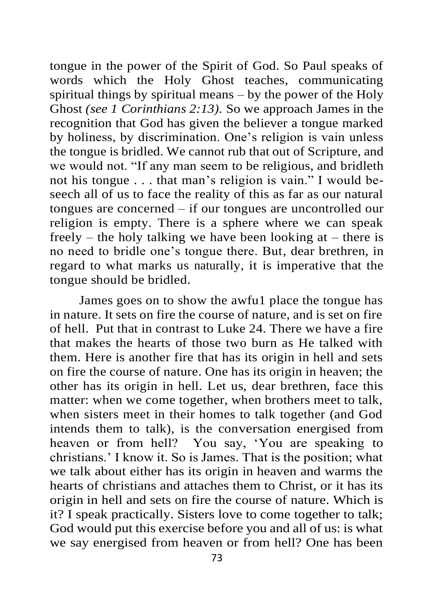tongue in the power of the Spirit of God. So Paul speaks of words which the Holy Ghost teaches, communicating spiritual things by spiritual means – by the power of the Holy Ghost *(see 1 Corinthians 2:13).* So we approach James in the recognition that God has given the believer a tongue marked by holiness, by discrimination. One's religion is vain unless the tongue is bridled. We cannot rub that out of Scripture, and we would not. "If any man seem to be religious, and bridleth not his tongue . . . that man's religion is vain." I would beseech all of us to face the reality of this as far as our natural tongues are concerned – if our tongues are uncontrolled our religion is empty. There is a sphere where we can speak freely – the holy talking we have been looking at – there is no need to bridle one's tongue there. But, dear brethren, in regard to what marks us naturally, it is imperative that the tongue should be bridled.

James goes on to show the awfu1 place the tongue has in nature. It sets on fire the course of nature, and is set on fire of hell. Put that in contrast to Luke 24. There we have a fire that makes the hearts of those two burn as He talked with them. Here is another fire that has its origin in hell and sets on fire the course of nature. One has its origin in heaven; the other has its origin in hell. Let us, dear brethren, face this matter: when we come together, when brothers meet to talk, when sisters meet in their homes to talk together (and God intends them to talk), is the conversation energised from heaven or from hell? You say, 'You are speaking to christians.' I know it. So is James. That is the position; what we talk about either has its origin in heaven and warms the hearts of christians and attaches them to Christ, or it has its origin in hell and sets on fire the course of nature. Which is it? I speak practically. Sisters love to come together to talk; God would put this exercise before you and all of us: is what we say energised from heaven or from hell? One has been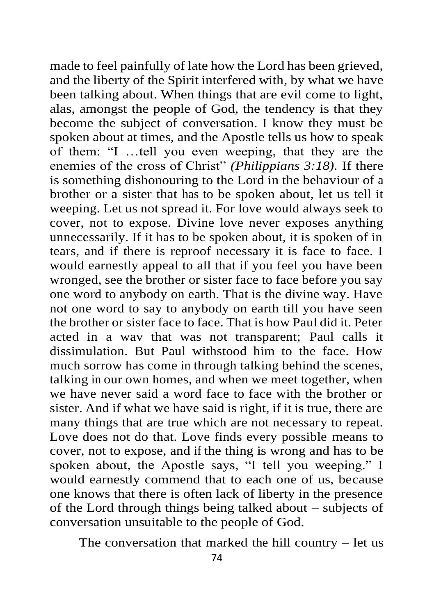made to feel painfully of late how the Lord has been grieved, and the liberty of the Spirit interfered with, by what we have been talking about. When things that are evil come to light, alas, amongst the people of God, the tendency is that they become the subject of conversation. I know they must be spoken about at times, and the Apostle tells us how to speak of them: "I …tell you even weeping, that they are the enemies of the cross of Christ" *(Philippians 3:18).* If there is something dishonouring to the Lord in the behaviour of a brother or a sister that has to be spoken about, let us tell it weeping. Let us not spread it. For love would always seek to cover, not to expose. Divine love never exposes anything unnecessarily. If it has to be spoken about, it is spoken of in tears, and if there is reproof necessary it is face to face. I would earnestly appeal to all that if you feel you have been wronged, see the brother or sister face to face before you say one word to anybody on earth. That is the divine way. Have not one word to say to anybody on earth till you have seen the brother or sister face to face. That is how Paul did it. Peter acted in a wav that was not transparent; Paul calls it dissimulation. But Paul withstood him to the face. How much sorrow has come in through talking behind the scenes, talking in our own homes, and when we meet together, when we have never said a word face to face with the brother or sister. And if what we have said is right, if it is true, there are many things that are true which are not necessary to repeat. Love does not do that. Love finds every possible means to cover, not to expose, and if the thing is wrong and has to be spoken about, the Apostle says, "I tell you weeping." I would earnestly commend that to each one of us, because one knows that there is often lack of liberty in the presence of the Lord through things being talked about – subjects of conversation unsuitable to the people of God.

The conversation that marked the hill country – let us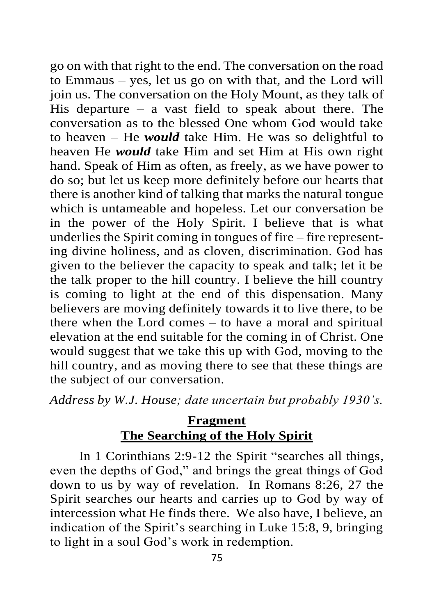go on with that right to the end. The conversation on the road to Emmaus – yes, let us go on with that, and the Lord will join us. The conversation on the Holy Mount, as they talk of His departure – a vast field to speak about there. The conversation as to the blessed One whom God would take to heaven – He *would* take Him. He was so delightful to heaven He *would* take Him and set Him at His own right hand. Speak of Him as often, as freely, as we have power to do so; but let us keep more definitely before our hearts that there is another kind of talking that marks the natural tongue which is untameable and hopeless. Let our conversation be in the power of the Holy Spirit. I believe that is what underlies the Spirit coming in tongues of fire – fire representing divine holiness, and as cloven, discrimination. God has given to the believer the capacity to speak and talk; let it be the talk proper to the hill country. I believe the hill country is coming to light at the end of this dispensation. Many believers are moving definitely towards it to live there, to be there when the Lord comes – to have a moral and spiritual elevation at the end suitable for the coming in of Christ. One would suggest that we take this up with God, moving to the hill country, and as moving there to see that these things are the subject of our conversation.

*Address by W.J. House; date uncertain but probably 1930's.*

# **Fragment The Searching of the Holy Spirit**

In 1 Corinthians 2:9-12 the Spirit "searches all things, even the depths of God," and brings the great things of God down to us by way of revelation. In Romans 8:26, 27 the Spirit searches our hearts and carries up to God by way of intercession what He finds there. We also have, I believe, an indication of the Spirit's searching in Luke 15:8, 9, bringing to light in a soul God's work in redemption.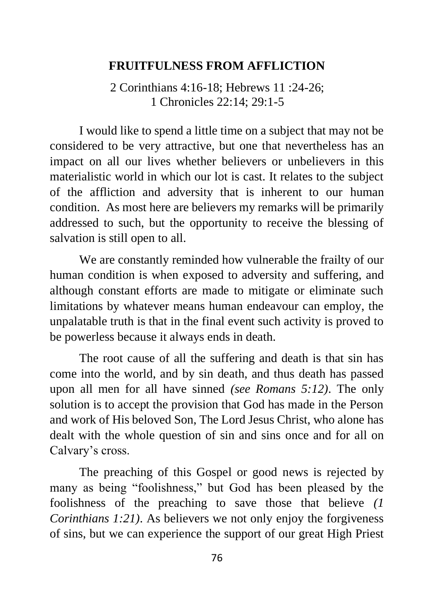#### **FRUITFULNESS FROM AFFLICTION**

2 Corinthians 4:16-18; Hebrews 11 :24-26; 1 Chronicles 22:14; 29:1-5

I would like to spend a little time on a subject that may not be considered to be very attractive, but one that nevertheless has an impact on all our lives whether believers or unbelievers in this materialistic world in which our lot is cast. It relates to the subject of the affliction and adversity that is inherent to our human condition. As most here are believers my remarks will be primarily addressed to such, but the opportunity to receive the blessing of salvation is still open to all.

We are constantly reminded how vulnerable the frailty of our human condition is when exposed to adversity and suffering, and although constant efforts are made to mitigate or eliminate such limitations by whatever means human endeavour can employ, the unpalatable truth is that in the final event such activity is proved to be powerless because it always ends in death.

The root cause of all the suffering and death is that sin has come into the world, and by sin death, and thus death has passed upon all men for all have sinned *(see Romans 5:12)*. The only solution is to accept the provision that God has made in the Person and work of His beloved Son, The Lord Jesus Christ, who alone has dealt with the whole question of sin and sins once and for all on Calvary's cross.

The preaching of this Gospel or good news is rejected by many as being "foolishness," but God has been pleased by the foolishness of the preaching to save those that believe *(1 Corinthians 1:21)*. As believers we not only enjoy the forgiveness of sins, but we can experience the support of our great High Priest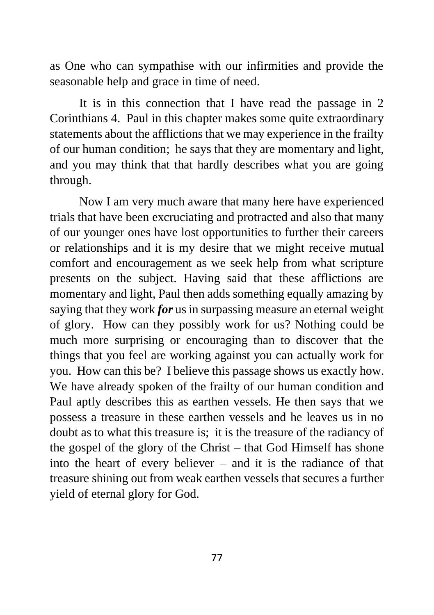as One who can sympathise with our infirmities and provide the seasonable help and grace in time of need.

It is in this connection that I have read the passage in 2 Corinthians 4. Paul in this chapter makes some quite extraordinary statements about the afflictions that we may experience in the frailty of our human condition; he says that they are momentary and light, and you may think that that hardly describes what you are going through.

Now I am very much aware that many here have experienced trials that have been excruciating and protracted and also that many of our younger ones have lost opportunities to further their careers or relationships and it is my desire that we might receive mutual comfort and encouragement as we seek help from what scripture presents on the subject. Having said that these afflictions are momentary and light, Paul then adds something equally amazing by saying that they work *for* us in surpassing measure an eternal weight of glory. How can they possibly work for us? Nothing could be much more surprising or encouraging than to discover that the things that you feel are working against you can actually work for you. How can this be? I believe this passage shows us exactly how. We have already spoken of the frailty of our human condition and Paul aptly describes this as earthen vessels. He then says that we possess a treasure in these earthen vessels and he leaves us in no doubt as to what this treasure is; it is the treasure of the radiancy of the gospel of the glory of the Christ – that God Himself has shone into the heart of every believer – and it is the radiance of that treasure shining out from weak earthen vessels that secures a further yield of eternal glory for God.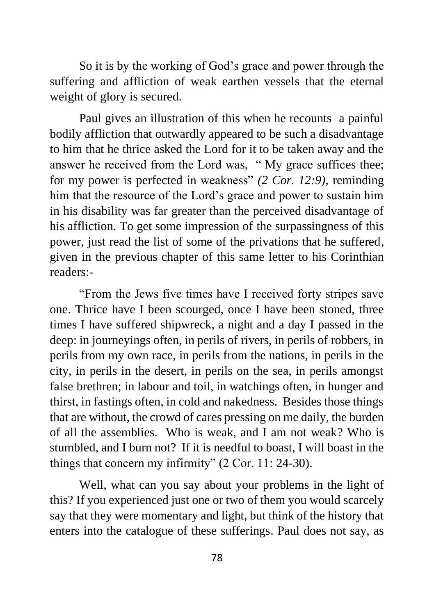So it is by the working of God's grace and power through the suffering and affliction of weak earthen vessels that the eternal weight of glory is secured.

Paul gives an illustration of this when he recounts a painful bodily affliction that outwardly appeared to be such a disadvantage to him that he thrice asked the Lord for it to be taken away and the answer he received from the Lord was, " My grace suffices thee; for my power is perfected in weakness" *(2 Cor. 12:9),* reminding him that the resource of the Lord's grace and power to sustain him in his disability was far greater than the perceived disadvantage of his affliction. To get some impression of the surpassingness of this power, just read the list of some of the privations that he suffered, given in the previous chapter of this same letter to his Corinthian readers:-

"From the Jews five times have I received forty stripes save one. Thrice have I been scourged, once I have been stoned, three times I have suffered shipwreck, a night and a day I passed in the deep: in journeyings often, in perils of rivers, in perils of robbers, in perils from my own race, in perils from the nations, in perils in the city, in perils in the desert, in perils on the sea, in perils amongst false brethren; in labour and toil, in watchings often, in hunger and thirst, in fastings often, in cold and nakedness. Besides those things that are without, the crowd of cares pressing on me daily, the burden of all the assemblies. Who is weak, and I am not weak? Who is stumbled, and I burn not? If it is needful to boast, I will boast in the things that concern my infirmity" (2 Cor. 11: 24-30).

Well, what can you say about your problems in the light of this? If you experienced just one or two of them you would scarcely say that they were momentary and light, but think of the history that enters into the catalogue of these sufferings. Paul does not say, as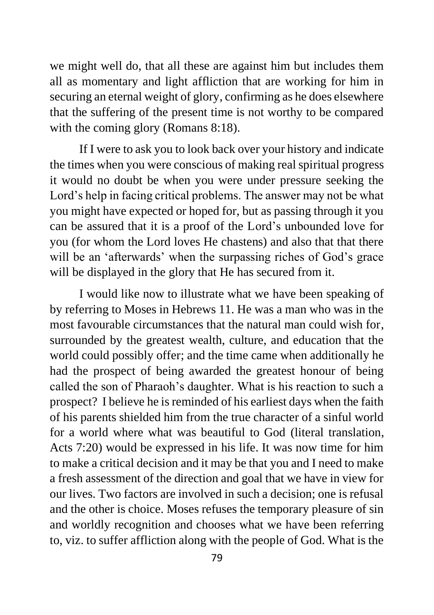we might well do, that all these are against him but includes them all as momentary and light affliction that are working for him in securing an eternal weight of glory, confirming as he does elsewhere that the suffering of the present time is not worthy to be compared with the coming glory (Romans 8:18).

If I were to ask you to look back over your history and indicate the times when you were conscious of making real spiritual progress it would no doubt be when you were under pressure seeking the Lord's help in facing critical problems. The answer may not be what you might have expected or hoped for, but as passing through it you can be assured that it is a proof of the Lord's unbounded love for you (for whom the Lord loves He chastens) and also that that there will be an 'afterwards' when the surpassing riches of God's grace will be displayed in the glory that He has secured from it.

I would like now to illustrate what we have been speaking of by referring to Moses in Hebrews 11. He was a man who was in the most favourable circumstances that the natural man could wish for, surrounded by the greatest wealth, culture, and education that the world could possibly offer; and the time came when additionally he had the prospect of being awarded the greatest honour of being called the son of Pharaoh's daughter. What is his reaction to such a prospect? I believe he is reminded of his earliest days when the faith of his parents shielded him from the true character of a sinful world for a world where what was beautiful to God (literal translation, Acts 7:20) would be expressed in his life. It was now time for him to make a critical decision and it may be that you and I need to make a fresh assessment of the direction and goal that we have in view for our lives. Two factors are involved in such a decision; one is refusal and the other is choice. Moses refuses the temporary pleasure of sin and worldly recognition and chooses what we have been referring to, viz. to suffer affliction along with the people of God. What is the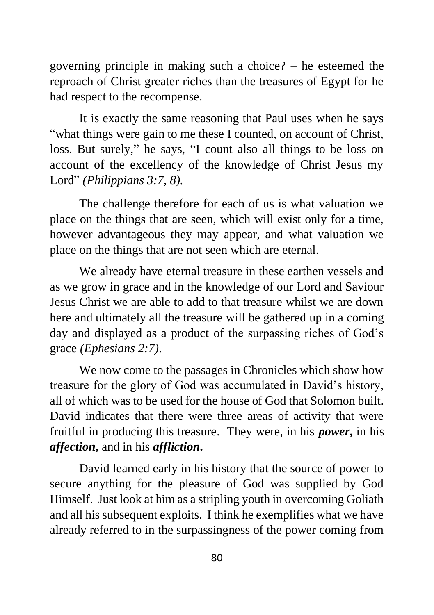governing principle in making such a choice? – he esteemed the reproach of Christ greater riches than the treasures of Egypt for he had respect to the recompense.

It is exactly the same reasoning that Paul uses when he says "what things were gain to me these I counted, on account of Christ, loss. But surely," he says, "I count also all things to be loss on account of the excellency of the knowledge of Christ Jesus my Lord" *(Philippians 3:7, 8).*

The challenge therefore for each of us is what valuation we place on the things that are seen, which will exist only for a time, however advantageous they may appear, and what valuation we place on the things that are not seen which are eternal.

We already have eternal treasure in these earthen vessels and as we grow in grace and in the knowledge of our Lord and Saviour Jesus Christ we are able to add to that treasure whilst we are down here and ultimately all the treasure will be gathered up in a coming day and displayed as a product of the surpassing riches of God's grace *(Ephesians 2:7)*.

We now come to the passages in Chronicles which show how treasure for the glory of God was accumulated in David's history, all of which was to be used for the house of God that Solomon built. David indicates that there were three areas of activity that were fruitful in producing this treasure. They were, in his *power***,** in his *affection***,** and in his *affliction***.**

David learned early in his history that the source of power to secure anything for the pleasure of God was supplied by God Himself. Just look at him as a stripling youth in overcoming Goliath and all his subsequent exploits. I think he exemplifies what we have already referred to in the surpassingness of the power coming from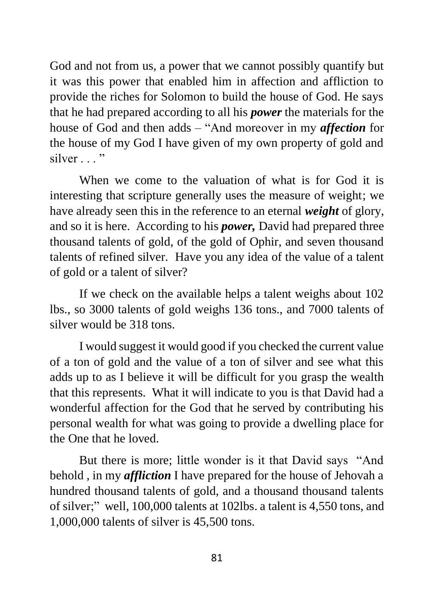God and not from us, a power that we cannot possibly quantify but it was this power that enabled him in affection and affliction to provide the riches for Solomon to build the house of God. He says that he had prepared according to all his *power* the materials for the house of God and then adds – "And moreover in my *affection* for the house of my God I have given of my own property of gold and silver . . . "

When we come to the valuation of what is for God it is interesting that scripture generally uses the measure of weight; we have already seen this in the reference to an eternal *weight* of glory, and so it is here. According to his *power,* David had prepared three thousand talents of gold, of the gold of Ophir, and seven thousand talents of refined silver. Have you any idea of the value of a talent of gold or a talent of silver?

If we check on the available helps a talent weighs about 102 lbs., so 3000 talents of gold weighs 136 tons., and 7000 talents of silver would be 318 tons.

I would suggest it would good if you checked the current value of a ton of gold and the value of a ton of silver and see what this adds up to as I believe it will be difficult for you grasp the wealth that this represents. What it will indicate to you is that David had a wonderful affection for the God that he served by contributing his personal wealth for what was going to provide a dwelling place for the One that he loved.

But there is more; little wonder is it that David says "And behold , in my *affliction* I have prepared for the house of Jehovah a hundred thousand talents of gold, and a thousand thousand talents of silver;" well, 100,000 talents at 102lbs. a talent is 4,550 tons, and 1,000,000 talents of silver is 45,500 tons.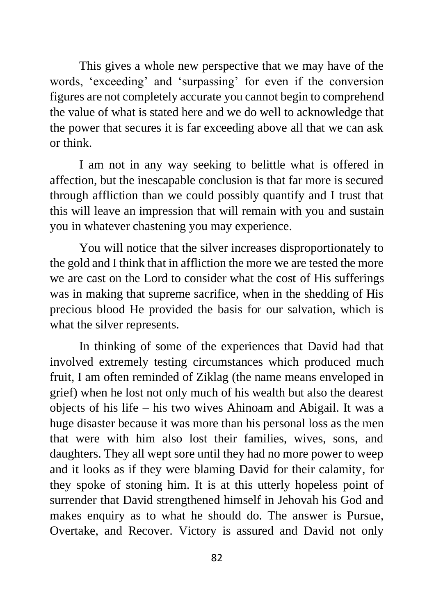This gives a whole new perspective that we may have of the words, 'exceeding' and 'surpassing' for even if the conversion figures are not completely accurate you cannot begin to comprehend the value of what is stated here and we do well to acknowledge that the power that secures it is far exceeding above all that we can ask or think.

I am not in any way seeking to belittle what is offered in affection, but the inescapable conclusion is that far more is secured through affliction than we could possibly quantify and I trust that this will leave an impression that will remain with you and sustain you in whatever chastening you may experience.

You will notice that the silver increases disproportionately to the gold and I think that in affliction the more we are tested the more we are cast on the Lord to consider what the cost of His sufferings was in making that supreme sacrifice, when in the shedding of His precious blood He provided the basis for our salvation, which is what the silver represents.

In thinking of some of the experiences that David had that involved extremely testing circumstances which produced much fruit, I am often reminded of Ziklag (the name means enveloped in grief) when he lost not only much of his wealth but also the dearest objects of his life – his two wives Ahinoam and Abigail. It was a huge disaster because it was more than his personal loss as the men that were with him also lost their families, wives, sons, and daughters. They all wept sore until they had no more power to weep and it looks as if they were blaming David for their calamity, for they spoke of stoning him. It is at this utterly hopeless point of surrender that David strengthened himself in Jehovah his God and makes enquiry as to what he should do. The answer is Pursue, Overtake, and Recover. Victory is assured and David not only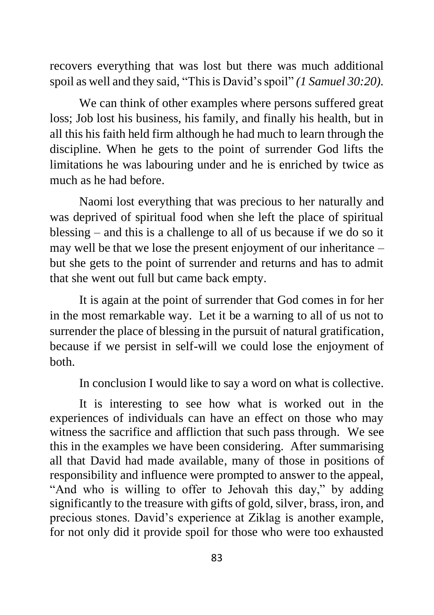recovers everything that was lost but there was much additional spoil as well and they said, "This is David's spoil" *(1 Samuel 30:20).*

We can think of other examples where persons suffered great loss; Job lost his business, his family, and finally his health, but in all this his faith held firm although he had much to learn through the discipline. When he gets to the point of surrender God lifts the limitations he was labouring under and he is enriched by twice as much as he had before.

Naomi lost everything that was precious to her naturally and was deprived of spiritual food when she left the place of spiritual blessing – and this is a challenge to all of us because if we do so it may well be that we lose the present enjoyment of our inheritance – but she gets to the point of surrender and returns and has to admit that she went out full but came back empty.

It is again at the point of surrender that God comes in for her in the most remarkable way. Let it be a warning to all of us not to surrender the place of blessing in the pursuit of natural gratification, because if we persist in self-will we could lose the enjoyment of both.

In conclusion I would like to say a word on what is collective.

It is interesting to see how what is worked out in the experiences of individuals can have an effect on those who may witness the sacrifice and affliction that such pass through. We see this in the examples we have been considering. After summarising all that David had made available, many of those in positions of responsibility and influence were prompted to answer to the appeal, "And who is willing to offer to Jehovah this day," by adding significantly to the treasure with gifts of gold, silver, brass, iron, and precious stones. David's experience at Ziklag is another example, for not only did it provide spoil for those who were too exhausted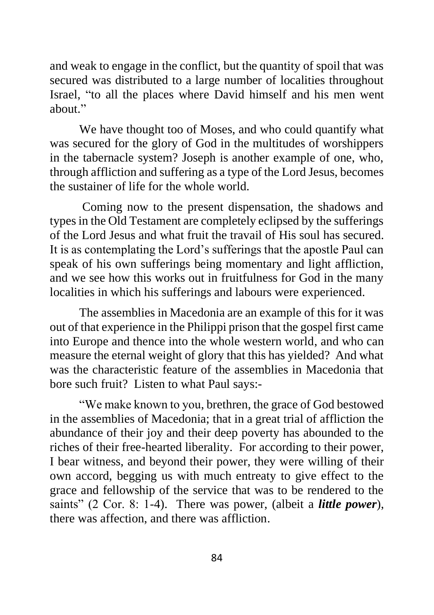and weak to engage in the conflict, but the quantity of spoil that was secured was distributed to a large number of localities throughout Israel, "to all the places where David himself and his men went about."

We have thought too of Moses, and who could quantify what was secured for the glory of God in the multitudes of worshippers in the tabernacle system? Joseph is another example of one, who, through affliction and suffering as a type of the Lord Jesus, becomes the sustainer of life for the whole world.

Coming now to the present dispensation, the shadows and types in the Old Testament are completely eclipsed by the sufferings of the Lord Jesus and what fruit the travail of His soul has secured. It is as contemplating the Lord's sufferings that the apostle Paul can speak of his own sufferings being momentary and light affliction, and we see how this works out in fruitfulness for God in the many localities in which his sufferings and labours were experienced.

The assemblies in Macedonia are an example of this for it was out of that experience in the Philippi prison that the gospel first came into Europe and thence into the whole western world, and who can measure the eternal weight of glory that this has yielded? And what was the characteristic feature of the assemblies in Macedonia that bore such fruit? Listen to what Paul says:-

"We make known to you, brethren, the grace of God bestowed in the assemblies of Macedonia; that in a great trial of affliction the abundance of their joy and their deep poverty has abounded to the riches of their free-hearted liberality. For according to their power, I bear witness, and beyond their power, they were willing of their own accord, begging us with much entreaty to give effect to the grace and fellowship of the service that was to be rendered to the saints" (2 Cor. 8: 1-4). There was power, (albeit a *little power*), there was affection, and there was affliction.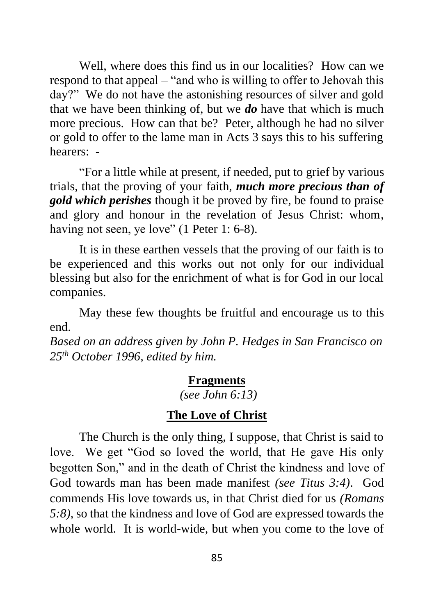Well, where does this find us in our localities? How can we respond to that appeal – "and who is willing to offer to Jehovah this day?" We do not have the astonishing resources of silver and gold that we have been thinking of, but we *do* have that which is much more precious. How can that be? Peter, although he had no silver or gold to offer to the lame man in Acts 3 says this to his suffering hearers: -

"For a little while at present, if needed, put to grief by various trials, that the proving of your faith, *much more precious than of gold which perishes* though it be proved by fire, be found to praise and glory and honour in the revelation of Jesus Christ: whom, having not seen, ye love" (1 Peter 1: 6-8).

It is in these earthen vessels that the proving of our faith is to be experienced and this works out not only for our individual blessing but also for the enrichment of what is for God in our local companies.

May these few thoughts be fruitful and encourage us to this end.

*Based on an address given by John P. Hedges in San Francisco on 25th October 1996, edited by him.*

## **Fragments**

*(see John 6:13)*

# **The Love of Christ**

The Church is the only thing, I suppose, that Christ is said to love. We get "God so loved the world, that He gave His only begotten Son," and in the death of Christ the kindness and love of God towards man has been made manifest *(see Titus 3:4)*. God commends His love towards us, in that Christ died for us *(Romans 5:8)*, so that the kindness and love of God are expressed towards the whole world. It is world-wide, but when you come to the love of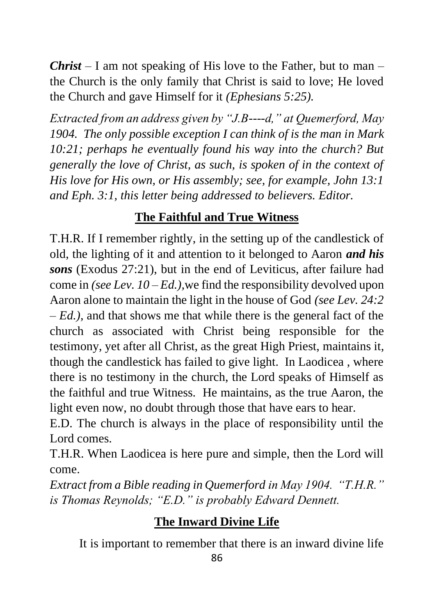*Christ* – I am not speaking of His love to the Father, but to man – the Church is the only family that Christ is said to love; He loved the Church and gave Himself for it *(Ephesians 5:25).*

*Extracted from an address given by "J.B----d," at Quemerford, May 1904. The only possible exception I can think of is the man in Mark 10:21; perhaps he eventually found his way into the church? But generally the love of Christ, as such, is spoken of in the context of His love for His own, or His assembly; see, for example, John 13:1 and Eph. 3:1, this letter being addressed to believers. Editor.*

# **The Faithful and True Witness**

T.H.R. If I remember rightly, in the setting up of the candlestick of old, the lighting of it and attention to it belonged to Aaron *and his sons* (Exodus 27:21), but in the end of Leviticus, after failure had come in *(see Lev. 10 – Ed.),*we find the responsibility devolved upon Aaron alone to maintain the light in the house of God *(see Lev. 24:2 – Ed.),* and that shows me that while there is the general fact of the church as associated with Christ being responsible for the testimony, yet after all Christ, as the great High Priest, maintains it, though the candlestick has failed to give light. In Laodicea , where there is no testimony in the church, the Lord speaks of Himself as the faithful and true Witness. He maintains, as the true Aaron, the light even now, no doubt through those that have ears to hear.

E.D. The church is always in the place of responsibility until the Lord comes.

T.H.R. When Laodicea is here pure and simple, then the Lord will come.

*Extract from a Bible reading in Quemerford in May 1904. "T.H.R." is Thomas Reynolds; "E.D." is probably Edward Dennett.*

# **The Inward Divine Life**

It is important to remember that there is an inward divine life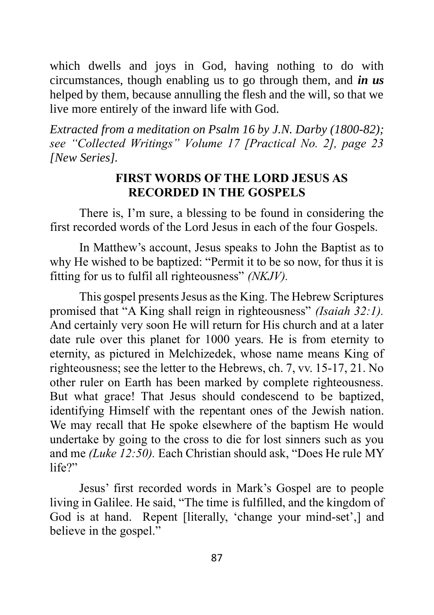which dwells and joys in God, having nothing to do with circumstances, though enabling us to go through them, and *in us* helped by them, because annulling the flesh and the will, so that we live more entirely of the inward life with God.

*Extracted from a meditation on Psalm 16 by J.N. Darby (1800-82); see "Collected Writings" Volume 17 [Practical No. 2], page 23 [New Series].*

# **FIRST WORDS OF THE LORD JESUS AS RECORDED IN THE GOSPELS**

There is, I'm sure, a blessing to be found in considering the first recorded words of the Lord Jesus in each of the four Gospels.

In Matthew's account, Jesus speaks to John the Baptist as to why He wished to be baptized: "Permit it to be so now, for thus it is fitting for us to fulfil all righteousness" *(NKJV).*

This gospel presents Jesus as the King. The Hebrew Scriptures promised that "A King shall reign in righteousness" *(Isaiah 32:1).*  And certainly very soon He will return for His church and at a later date rule over this planet for 1000 years. He is from eternity to eternity, as pictured in Melchizedek, whose name means King of righteousness; see the letter to the Hebrews, ch. 7, vv. 15-17, 21. No other ruler on Earth has been marked by complete righteousness. But what grace! That Jesus should condescend to be baptized, identifying Himself with the repentant ones of the Jewish nation. We may recall that He spoke elsewhere of the baptism He would undertake by going to the cross to die for lost sinners such as you and me *(Luke 12:50).* Each Christian should ask, "Does He rule MY life?"

Jesus' first recorded words in Mark's Gospel are to people living in Galilee. He said, "The time is fulfilled, and the kingdom of God is at hand. Repent [literally, 'change your mind-set',] and believe in the gospel."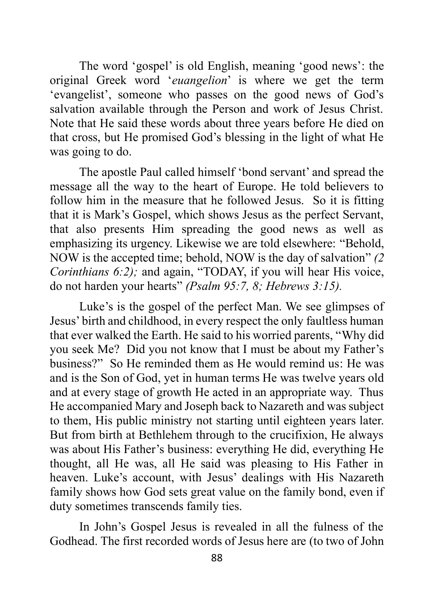The word 'gospel' is old English, meaning 'good news': the original Greek word '*euangelion*' is where we get the term 'evangelist', someone who passes on the good news of God's salvation available through the Person and work of Jesus Christ. Note that He said these words about three years before He died on that cross, but He promised God's blessing in the light of what He was going to do.

The apostle Paul called himself 'bond servant' and spread the message all the way to the heart of Europe. He told believers to follow him in the measure that he followed Jesus. So it is fitting that it is Mark's Gospel, which shows Jesus as the perfect Servant, that also presents Him spreading the good news as well as emphasizing its urgency. Likewise we are told elsewhere: "Behold, NOW is the accepted time; behold, NOW is the day of salvation" *(2 Corinthians 6:2);* and again, "TODAY, if you will hear His voice, do not harden your hearts" *(Psalm 95:7, 8; Hebrews 3:15).*

Luke's is the gospel of the perfect Man. We see glimpses of Jesus' birth and childhood, in every respect the only faultless human that ever walked the Earth. He said to his worried parents, "Why did you seek Me? Did you not know that I must be about my Father's business?" So He reminded them as He would remind us: He was and is the Son of God, yet in human terms He was twelve years old and at every stage of growth He acted in an appropriate way. Thus He accompanied Mary and Joseph back to Nazareth and was subject to them, His public ministry not starting until eighteen years later. But from birth at Bethlehem through to the crucifixion, He always was about His Father's business: everything He did, everything He thought, all He was, all He said was pleasing to His Father in heaven. Luke's account, with Jesus' dealings with His Nazareth family shows how God sets great value on the family bond, even if duty sometimes transcends family ties.

In John's Gospel Jesus is revealed in all the fulness of the Godhead. The first recorded words of Jesus here are (to two of John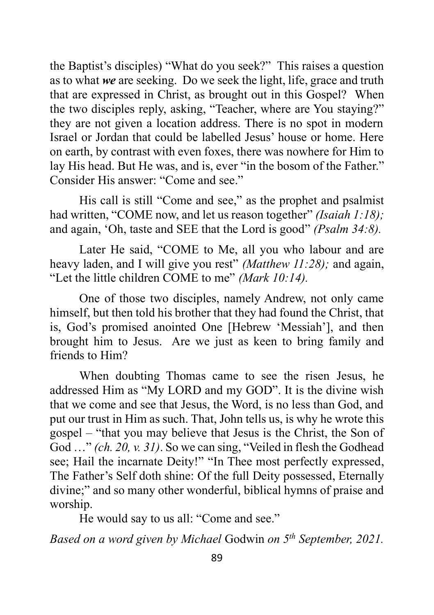the Baptist's disciples) "What do you seek?" This raises a question as to what *we* are seeking. Do we seek the light, life, grace and truth that are expressed in Christ, as brought out in this Gospel? When the two disciples reply, asking, "Teacher, where are You staying?" they are not given a location address. There is no spot in modern Israel or Jordan that could be labelled Jesus' house or home. Here on earth, by contrast with even foxes, there was nowhere for Him to lay His head. But He was, and is, ever "in the bosom of the Father." Consider His answer: "Come and see."

His call is still "Come and see," as the prophet and psalmist had written, "COME now, and let us reason together" *(Isaiah 1:18)*; and again, 'Oh, taste and SEE that the Lord is good" *(Psalm 34:8).*

Later He said, "COME to Me, all you who labour and are heavy laden, and I will give you rest" *(Matthew 11:28);* and again, "Let the little children COME to me" *(Mark 10:14).*

One of those two disciples, namely Andrew, not only came himself, but then told his brother that they had found the Christ, that is, God's promised anointed One [Hebrew 'Messiah'], and then brought him to Jesus. Are we just as keen to bring family and friends to Him?

When doubting Thomas came to see the risen Jesus, he addressed Him as "My LORD and my GOD". It is the divine wish that we come and see that Jesus, the Word, is no less than God, and put our trust in Him as such. That, John tells us, is why he wrote this gospel – "that you may believe that Jesus is the Christ, the Son of God …" *(ch. 20, v. 31)*. So we can sing, "Veiled in flesh the Godhead see; Hail the incarnate Deity!" "In Thee most perfectly expressed, The Father's Self doth shine: Of the full Deity possessed, Eternally divine;" and so many other wonderful, biblical hymns of praise and worship.

He would say to us all: "Come and see."

*Based on a word given by Michael* Godwin *on 5 th September, 2021.*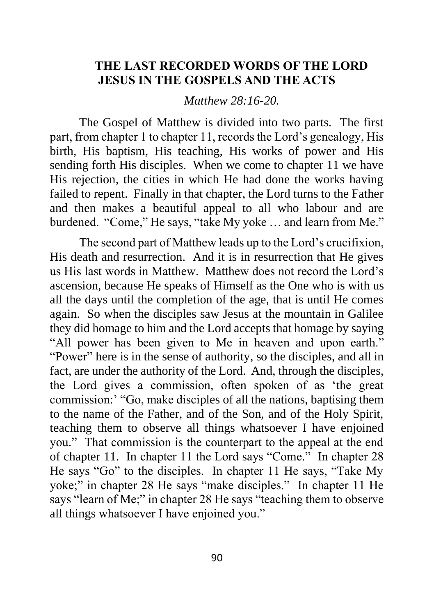# **THE LAST RECORDED WORDS OF THE LORD JESUS IN THE GOSPELS AND THE ACTS**

*Matthew 28:16-20.*

The Gospel of Matthew is divided into two parts. The first part, from chapter 1 to chapter 11, records the Lord's genealogy, His birth, His baptism, His teaching, His works of power and His sending forth His disciples. When we come to chapter 11 we have His rejection, the cities in which He had done the works having failed to repent. Finally in that chapter, the Lord turns to the Father and then makes a beautiful appeal to all who labour and are burdened. "Come," He says, "take My yoke … and learn from Me."

The second part of Matthew leads up to the Lord's crucifixion, His death and resurrection. And it is in resurrection that He gives us His last words in Matthew. Matthew does not record the Lord's ascension, because He speaks of Himself as the One who is with us all the days until the completion of the age, that is until He comes again. So when the disciples saw Jesus at the mountain in Galilee they did homage to him and the Lord accepts that homage by saying "All power has been given to Me in heaven and upon earth." "Power" here is in the sense of authority, so the disciples, and all in fact, are under the authority of the Lord. And, through the disciples, the Lord gives a commission, often spoken of as 'the great commission:' "Go, make disciples of all the nations, baptising them to the name of the Father, and of the Son, and of the Holy Spirit, teaching them to observe all things whatsoever I have enjoined you." That commission is the counterpart to the appeal at the end of chapter 11. In chapter 11 the Lord says "Come." In chapter 28 He says "Go" to the disciples. In chapter 11 He says, "Take My yoke;" in chapter 28 He says "make disciples." In chapter 11 He says "learn of Me;" in chapter 28 He says "teaching them to observe all things whatsoever I have enjoined you."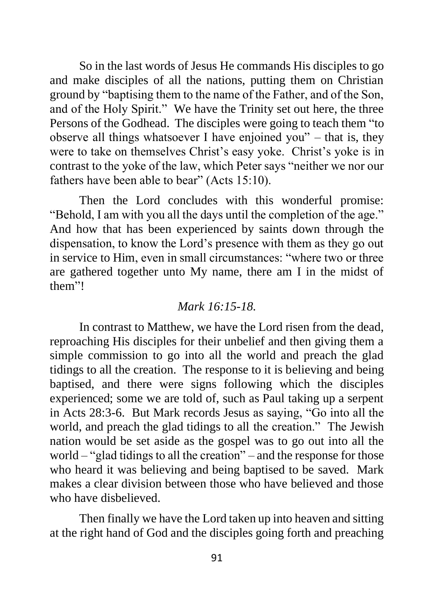So in the last words of Jesus He commands His disciples to go and make disciples of all the nations, putting them on Christian ground by "baptising them to the name of the Father, and of the Son, and of the Holy Spirit." We have the Trinity set out here, the three Persons of the Godhead. The disciples were going to teach them "to observe all things whatsoever I have enjoined you" – that is, they were to take on themselves Christ's easy yoke. Christ's yoke is in contrast to the yoke of the law, which Peter says "neither we nor our fathers have been able to bear" (Acts 15:10).

Then the Lord concludes with this wonderful promise: "Behold, I am with you all the days until the completion of the age." And how that has been experienced by saints down through the dispensation, to know the Lord's presence with them as they go out in service to Him, even in small circumstances: "where two or three are gathered together unto My name, there am I in the midst of them"!

#### *Mark 16:15-18.*

In contrast to Matthew, we have the Lord risen from the dead, reproaching His disciples for their unbelief and then giving them a simple commission to go into all the world and preach the glad tidings to all the creation. The response to it is believing and being baptised, and there were signs following which the disciples experienced; some we are told of, such as Paul taking up a serpent in Acts 28:3-6. But Mark records Jesus as saying, "Go into all the world, and preach the glad tidings to all the creation." The Jewish nation would be set aside as the gospel was to go out into all the world – "glad tidings to all the creation" – and the response for those who heard it was believing and being baptised to be saved. Mark makes a clear division between those who have believed and those who have disbelieved.

Then finally we have the Lord taken up into heaven and sitting at the right hand of God and the disciples going forth and preaching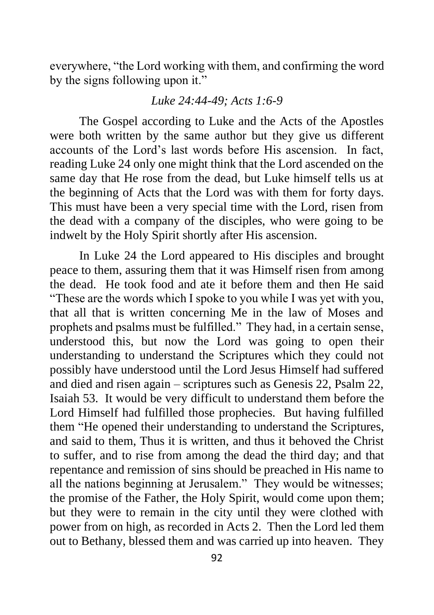everywhere, "the Lord working with them, and confirming the word by the signs following upon it."

### *Luke 24:44-49; Acts 1:6-9*

The Gospel according to Luke and the Acts of the Apostles were both written by the same author but they give us different accounts of the Lord's last words before His ascension. In fact, reading Luke 24 only one might think that the Lord ascended on the same day that He rose from the dead, but Luke himself tells us at the beginning of Acts that the Lord was with them for forty days. This must have been a very special time with the Lord, risen from the dead with a company of the disciples, who were going to be indwelt by the Holy Spirit shortly after His ascension.

In Luke 24 the Lord appeared to His disciples and brought peace to them, assuring them that it was Himself risen from among the dead. He took food and ate it before them and then He said "These are the words which I spoke to you while I was yet with you, that all that is written concerning Me in the law of Moses and prophets and psalms must be fulfilled." They had, in a certain sense, understood this, but now the Lord was going to open their understanding to understand the Scriptures which they could not possibly have understood until the Lord Jesus Himself had suffered and died and risen again – scriptures such as Genesis 22, Psalm 22, Isaiah 53. It would be very difficult to understand them before the Lord Himself had fulfilled those prophecies. But having fulfilled them "He opened their understanding to understand the Scriptures, and said to them, Thus it is written, and thus it behoved the Christ to suffer, and to rise from among the dead the third day; and that repentance and remission of sins should be preached in His name to all the nations beginning at Jerusalem." They would be witnesses; the promise of the Father, the Holy Spirit, would come upon them; but they were to remain in the city until they were clothed with power from on high, as recorded in Acts 2. Then the Lord led them out to Bethany, blessed them and was carried up into heaven. They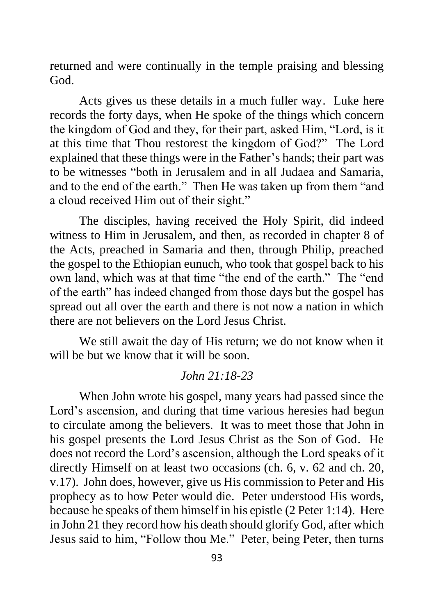returned and were continually in the temple praising and blessing God.

Acts gives us these details in a much fuller way. Luke here records the forty days, when He spoke of the things which concern the kingdom of God and they, for their part, asked Him, "Lord, is it at this time that Thou restorest the kingdom of God?" The Lord explained that these things were in the Father's hands; their part was to be witnesses "both in Jerusalem and in all Judaea and Samaria, and to the end of the earth." Then He was taken up from them "and a cloud received Him out of their sight."

The disciples, having received the Holy Spirit, did indeed witness to Him in Jerusalem, and then, as recorded in chapter 8 of the Acts, preached in Samaria and then, through Philip, preached the gospel to the Ethiopian eunuch, who took that gospel back to his own land, which was at that time "the end of the earth." The "end of the earth" has indeed changed from those days but the gospel has spread out all over the earth and there is not now a nation in which there are not believers on the Lord Jesus Christ.

We still await the day of His return; we do not know when it will be but we know that it will be soon.

# *John 21:18-23*

When John wrote his gospel, many years had passed since the Lord's ascension, and during that time various heresies had begun to circulate among the believers. It was to meet those that John in his gospel presents the Lord Jesus Christ as the Son of God. He does not record the Lord's ascension, although the Lord speaks of it directly Himself on at least two occasions (ch. 6, v. 62 and ch. 20, v.17). John does, however, give us His commission to Peter and His prophecy as to how Peter would die. Peter understood His words, because he speaks of them himself in his epistle (2 Peter 1:14). Here in John 21 they record how his death should glorify God, after which Jesus said to him, "Follow thou Me." Peter, being Peter, then turns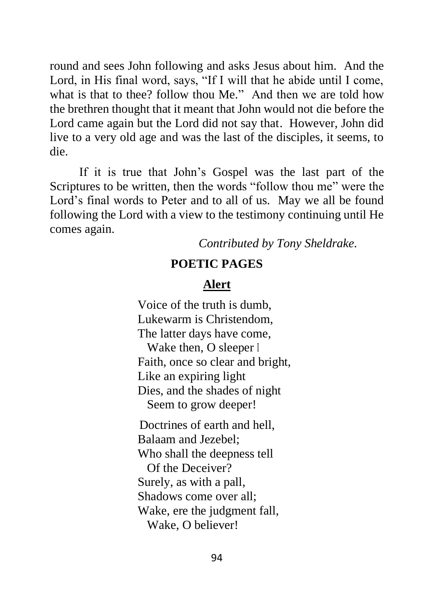round and sees John following and asks Jesus about him. And the Lord, in His final word, says, "If I will that he abide until I come, what is that to thee? follow thou Me." And then we are told how the brethren thought that it meant that John would not die before the Lord came again but the Lord did not say that. However, John did live to a very old age and was the last of the disciples, it seems, to die.

If it is true that John's Gospel was the last part of the Scriptures to be written, then the words "follow thou me" were the Lord's final words to Peter and to all of us. May we all be found following the Lord with a view to the testimony continuing until He comes again.

*Contributed by Tony Sheldrake.*

## **POETIC PAGES**

# **Alert**

Voice of the truth is dumb, Lukewarm is Christendom, The latter days have come, Wake then, O sleeper I Faith, once so clear and bright, Like an expiring light Dies, and the shades of night Seem to grow deeper! Doctrines of earth and hell, Balaam and Jezebel; Who shall the deepness tell Of the Deceiver?

Surely, as with a pall, Shadows come over all; Wake, ere the judgment fall,

Wake, O believer!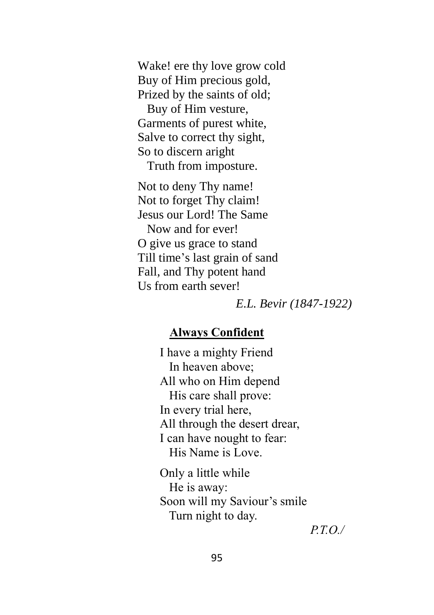Wake! ere thy love grow cold Buy of Him precious gold, Prized by the saints of old;

 Buy of Him vesture, Garments of purest white, Salve to correct thy sight, So to discern aright Truth from imposture.

Not to deny Thy name! Not to forget Thy claim! Jesus our Lord! The Same Now and for ever! O give us grace to stand Till time's last grain of sand Fall, and Thy potent hand Us from earth sever!

*E.L. Bevir (1847-1922)*

## **Always Confident**

I have a mighty Friend In heaven above; All who on Him depend His care shall prove: In every trial here, All through the desert drear, I can have nought to fear: His Name is Love.

Only a little while He is away: Soon will my Saviour's smile Turn night to day.

*P.T.O./*